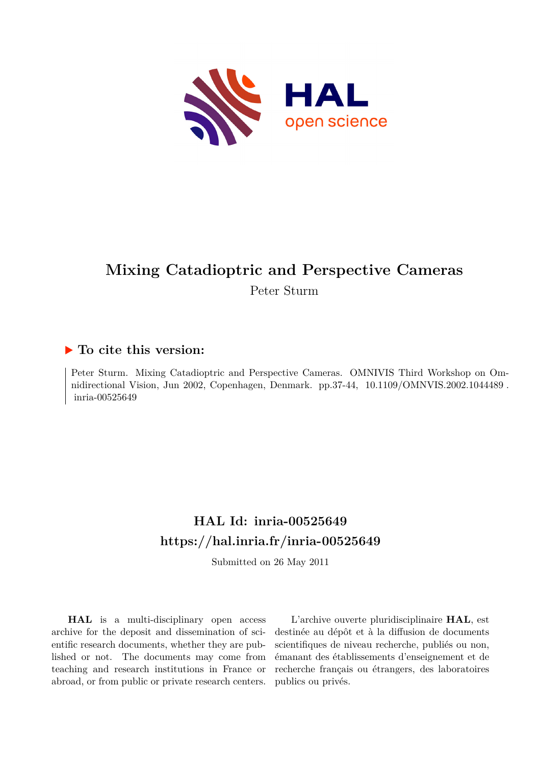

# **Mixing Catadioptric and Perspective Cameras**

Peter Sturm

# **To cite this version:**

Peter Sturm. Mixing Catadioptric and Perspective Cameras. OMNIVIS Third Workshop on Omnidirectional Vision, Jun 2002, Copenhagen, Denmark. pp.37-44, 10.1109/OMNVIS.2002.1044489. inria-00525649

# **HAL Id: inria-00525649 <https://hal.inria.fr/inria-00525649>**

Submitted on 26 May 2011

**HAL** is a multi-disciplinary open access archive for the deposit and dissemination of scientific research documents, whether they are published or not. The documents may come from teaching and research institutions in France or abroad, or from public or private research centers.

L'archive ouverte pluridisciplinaire **HAL**, est destinée au dépôt et à la diffusion de documents scientifiques de niveau recherche, publiés ou non, émanant des établissements d'enseignement et de recherche français ou étrangers, des laboratoires publics ou privés.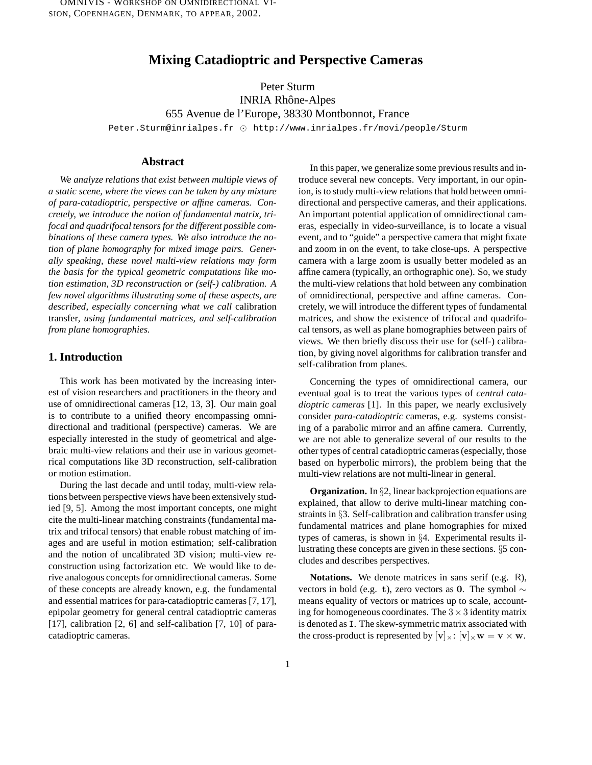# **Mixing Catadioptric and Perspective Cameras**

Peter Sturm INRIA Rhône-Alpes 655 Avenue de l'Europe, 38330 Montbonnot, France Peter.Sturm@inrialpes.fr  $\odot$  http://www.inrialpes.fr/movi/people/Sturm

#### **Abstract**

*We analyze relations that exist between multiple views of a static scene, where the views can be taken by any mixture of para-catadioptric, perspective or affine cameras. Concretely, we introduce the notion of fundamental matrix, trifocal and quadrifocal tensors for the different possible combinations of these camera types. We also introduce the notion of plane homography for mixed image pairs. Generally speaking, these novel multi-view relations may form the basis for the typical geometric computations like motion estimation, 3D reconstruction or (self-) calibration. A few novel algorithms illustrating some of these aspects, are described, especially concerning what we call* calibration transfer*, using fundamental matrices, and self-calibration from plane homographies.*

#### **1. Introduction**

This work has been motivated by the increasing interest of vision researchers and practitioners in the theory and use of omnidirectional cameras [12, 13, 3]. Our main goal is to contribute to a unified theory encompassing omnidirectional and traditional (perspective) cameras. We are especially interested in the study of geometrical and algebraic multi-view relations and their use in various geometrical computations like 3D reconstruction, self-calibration or motion estimation.

During the last decade and until today, multi-view relations between perspective views have been extensively studied [9, 5]. Among the most important concepts, one might cite the multi-linear matching constraints (fundamental matrix and trifocal tensors) that enable robust matching of images and are useful in motion estimation; self-calibration and the notion of uncalibrated 3D vision; multi-view reconstruction using factorization etc. We would like to derive analogous concepts for omnidirectional cameras. Some of these concepts are already known, e.g. the fundamental and essential matrices for para-catadioptric cameras [7, 17], epipolar geometry for general central catadioptric cameras [17], calibration [2, 6] and self-calibation [7, 10] of paracatadioptric cameras.

In this paper, we generalize some previous results and introduce several new concepts. Very important, in our opinion, is to study multi-view relations that hold between omnidirectional and perspective cameras, and their applications. An important potential application of omnidirectional cameras, especially in video-surveillance, is to locate a visual event, and to "guide" a perspective camera that might fixate and zoom in on the event, to take close-ups. A perspective camera with a large zoom is usually better modeled as an affine camera (typically, an orthographic one). So, we study the multi-view relations that hold between any combination of omnidirectional, perspective and affine cameras. Concretely, we will introduce the different types of fundamental matrices, and show the existence of trifocal and quadrifocal tensors, as well as plane homographies between pairs of views. We then briefly discuss their use for (self-) calibration, by giving novel algorithms for calibration transfer and self-calibration from planes.

Concerning the types of omnidirectional camera, our eventual goal is to treat the various types of *central catadioptric cameras* [1]. In this paper, we nearly exclusively consider *para-catadioptric* cameras, e.g. systems consisting of a parabolic mirror and an affine camera. Currently, we are not able to generalize several of our results to the other types of central catadioptric cameras(especially, those based on hyperbolic mirrors), the problem being that the multi-view relations are not multi-linear in general.

**Organization.** In §2, linear backprojection equations are explained, that allow to derive multi-linear matching constraints in §3. Self-calibration and calibration transfer using fundamental matrices and plane homographies for mixed types of cameras, is shown in §4. Experimental results illustrating these concepts are given in these sections. §5 concludes and describes perspectives.

**Notations.** We denote matrices in sans serif (e.g. R), vectors in bold (e.g. t), zero vectors as 0. The symbol  $\sim$ means equality of vectors or matrices up to scale, accounting for homogeneous coordinates. The  $3 \times 3$  identity matrix is denoted as I. The skew-symmetric matrix associated with the cross-product is represented by  $[v]_{\times}$ :  $[v]_{\times}$  w = v  $\times$  w.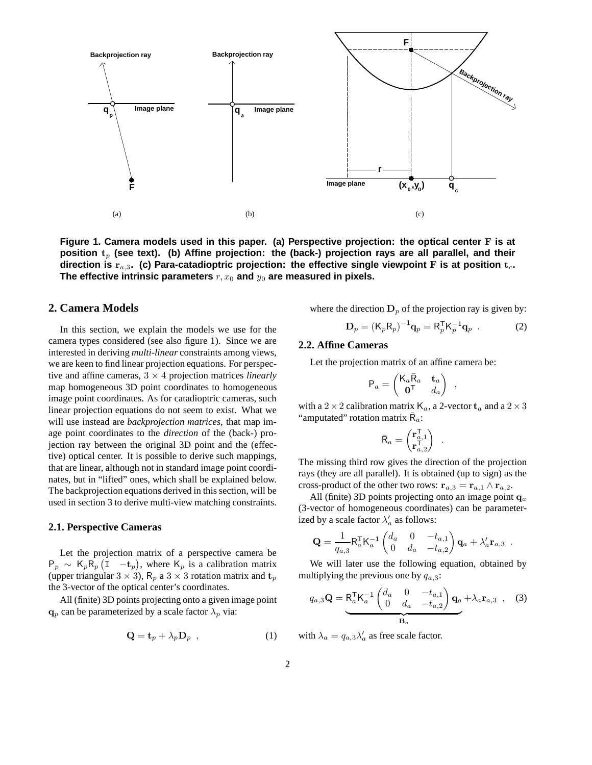

**Figure 1. Camera models used in this paper. (a) Perspective projection: the optical center** F **is at position** t<sup>p</sup> **(see text). (b) Affine projection: the (back-) projection rays are all parallel, and their direction is** ra,<sup>3</sup>**. (c) Para-catadioptric projection: the effective single viewpoint** F **is at position** tc**.** The effective intrinsic parameters  $r, x_0$  and  $y_0$  are measured in pixels.

#### **2. Camera Models**

In this section, we explain the models we use for the camera types considered (see also figure 1). Since we are interested in deriving *multi-linear* constraints among views, we are keen to find linear projection equations. For perspective and affine cameras, 3 × 4 projection matrices *linearly* map homogeneous 3D point coordinates to homogeneous image point coordinates. As for catadioptric cameras, such linear projection equations do not seem to exist. What we will use instead are *backprojection matrices*, that map image point coordinates to the *direction* of the (back-) projection ray between the original 3D point and the (effective) optical center. It is possible to derive such mappings, that are linear, although not in standard image point coordinates, but in "lifted" ones, which shall be explained below. The backprojection equations derived in this section, will be used in section 3 to derive multi-view matching constraints.

#### **2.1. Perspective Cameras**

Let the projection matrix of a perspective camera be  $P_p \sim K_p \overline{R}_p (I - t_p)$ , where  $K_p$  is a calibration matrix (upper triangular  $3 \times 3$ ),  $R_p$  a  $3 \times 3$  rotation matrix and  $t_p$ the 3-vector of the optical center's coordinates.

All (finite) 3D points projecting onto a given image point  $\mathbf{q}_p$  can be parameterized by a scale factor  $\lambda_p$  via:

$$
\mathbf{Q} = \mathbf{t}_p + \lambda_p \mathbf{D}_p \quad , \tag{1}
$$

where the direction  $D_p$  of the projection ray is given by:

$$
\mathbf{D}_p = \left(\mathsf{K}_p \mathsf{R}_p\right)^{-1} \mathbf{q}_p = \mathsf{R}_p^\mathsf{T} \mathsf{K}_p^{-1} \mathbf{q}_p \tag{2}
$$

,

#### **2.2. Affine Cameras**

Let the projection matrix of an affine camera be:

$$
\mathsf{P}_a = \begin{pmatrix} \mathsf{K}_a \bar{\mathsf{R}}_a & \mathbf{t}_a \\ \mathbf{0}^\mathsf{T} & d_a \end{pmatrix}
$$

with a 2  $\times$  2 calibration matrix  $K_a$ , a 2-vector  $t_a$  and a 2  $\times$  3 "amputated" rotation matrix  $\bar{R}_a$ :

$$
\bar{\mathsf{R}}_a = \begin{pmatrix} \mathbf{r}_{a,1}^\mathsf{T} \\ \mathbf{r}_{a,2}^\mathsf{T} \end{pmatrix} \enspace .
$$

The missing third row gives the direction of the projection rays (they are all parallel). It is obtained (up to sign) as the cross-product of the other two rows:  $\mathbf{r}_{a,3} = \mathbf{r}_{a,1} \wedge \mathbf{r}_{a,2}$ .

All (finite) 3D points projecting onto an image point  $q_a$ (3-vector of homogeneous coordinates) can be parameterized by a scale factor  $\lambda'_a$  as follows:

$$
\mathbf{Q} = \frac{1}{q_{a,3}} \mathsf{R}_{a}^{\mathsf{T}} \mathsf{K}_{a}^{-1} \begin{pmatrix} d_{a} & 0 & -t_{a,1} \\ 0 & d_{a} & -t_{a,2} \end{pmatrix} \mathbf{q}_{a} + \lambda_{a}' \mathbf{r}_{a,3} .
$$

We will later use the following equation, obtained by multiplying the previous one by  $q_{a,3}$ :

$$
q_{a,3}\mathbf{Q} = \mathsf{R}_{a}^{\mathsf{T}}\mathsf{K}_{a}^{-1}\begin{pmatrix} d_{a} & 0 & -t_{a,1} \\ 0 & d_{a} & -t_{a,2} \end{pmatrix}\mathbf{q}_{a} + \lambda_{a}\mathbf{r}_{a,3} \quad (3)
$$

with  $\lambda_a = q_{a,3} \lambda'_a$  as free scale factor.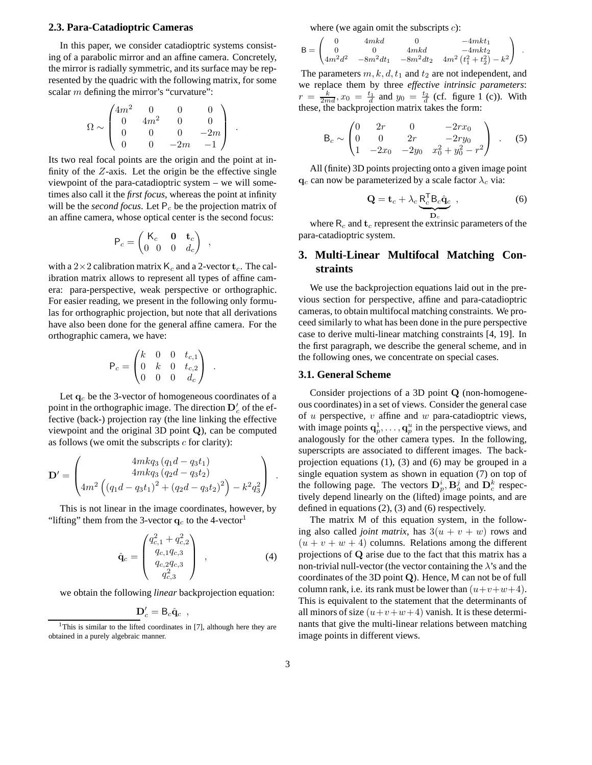#### **2.3. Para-Catadioptric Cameras**

In this paper, we consider catadioptric systems consisting of a parabolic mirror and an affine camera. Concretely, the mirror is radially symmetric, and its surface may be represented by the quadric with the following matrix, for some scalar *m* defining the mirror's "curvature":

$$
\Omega \sim \begin{pmatrix} 4m^2 & 0 & 0 & 0 \\ 0 & 4m^2 & 0 & 0 \\ 0 & 0 & 0 & -2m \\ 0 & 0 & -2m & -1 \end{pmatrix}.
$$

Its two real focal points are the origin and the point at infinity of the  $Z$ -axis. Let the origin be the effective single viewpoint of the para-catadioptric system – we will sometimes also call it the *first focus*, whereas the point at infinity will be the *second focus*. Let  $P_c$  be the projection matrix of an affine camera, whose optical center is the second focus:

$$
\mathsf{P}_c = \begin{pmatrix} \mathsf{K}_c & \mathbf{0} & \mathbf{t}_c \\ 0 & 0 & 0 & d_c \end{pmatrix} ,
$$

with a  $2\times 2$  calibration matrix  $K_c$  and a 2-vector  $t_c$ . The calibration matrix allows to represent all types of affine camera: para-perspective, weak perspective or orthographic. For easier reading, we present in the following only formulas for orthographic projection, but note that all derivations have also been done for the general affine camera. For the orthographic camera, we have:

$$
\mathsf{P}_c = \begin{pmatrix} k & 0 & 0 & t_{c,1} \\ 0 & k & 0 & t_{c,2} \\ 0 & 0 & 0 & d_c \end{pmatrix} .
$$

Let  $q_c$  be the 3-vector of homogeneous coordinates of a point in the orthographic image. The direction  $\mathbf{D}'_c$  of the effective (back-) projection ray (the line linking the effective viewpoint and the original 3D point Q), can be computed as follows (we omit the subscripts  $c$  for clarity):

$$
\mathbf{D}' = \begin{pmatrix} 4mkq_3 (q_1d - q_3t_1) \\ 4mkq_3 (q_2d - q_3t_2) \\ 4m^2 \left( (q_1d - q_3t_1)^2 + (q_2d - q_3t_2)^2 \right) - k^2q_3^2 \end{pmatrix} .
$$

This is not linear in the image coordinates, however, by "lifting" them from the 3-vector  $q_c$  to the 4-vector<sup>1</sup>

$$
\hat{\mathbf{q}}_c = \begin{pmatrix} q_{c,1}^2 + q_{c,2}^2 \\ q_{c,1}q_{c,3} \\ q_{c,2}q_{c,3} \\ q_{c,3}^2 \end{pmatrix} , \qquad (4)
$$

we obtain the following *linear* backprojection equation:

$$
\mathbf{D}_{c}'=\mathsf{B}_{c}\hat{\mathbf{q}}_{c} ,
$$

where (we again omit the subscripts  $c$ ):

$$
\mathsf{B} = \begin{pmatrix} 0 & 4mkd & 0 & -4mkt_1 \\ 0 & 0 & 4mkd & -4mkt_2 \\ 4m^2d^2 & -8m^2dt_1 & -8m^2dt_2 & 4m^2\left(t_1^2+t_2^2\right)-k^2 \end{pmatrix} \enspace .
$$

The parameters  $m, k, d, t_1$  and  $t_2$  are not independent, and we replace them by three *effective intrinsic parameters*:  $r = \frac{k}{2md}$ ,  $x_0 = \frac{t_1}{d}$  and  $y_0 = \frac{t_2}{d}$  (cf. figure 1 (c)). With these, the backprojection matrix takes the form:

$$
\mathsf{B}_{c} \sim \begin{pmatrix} 0 & 2r & 0 & -2rx_{0} \\ 0 & 0 & 2r & -2ry_{0} \\ 1 & -2x_{0} & -2y_{0} & x_{0}^{2} + y_{0}^{2} - r^{2} \end{pmatrix} . \tag{5}
$$

All (finite) 3D points projecting onto a given image point  $\mathbf{q}_c$  can now be parameterized by a scale factor  $\lambda_c$  via:

$$
\mathbf{Q} = \mathbf{t}_c + \lambda_c \underbrace{\mathbf{R}_c^{\mathsf{T}} \mathbf{B}_c \hat{\mathbf{q}}_c}_{\mathbf{D}_c} ,
$$
 (6)

where  $R_c$  and  $t_c$  represent the extrinsic parameters of the para-catadioptric system.

## **3. Multi-Linear Multifocal Matching Constraints**

We use the backprojection equations laid out in the previous section for perspective, affine and para-catadioptric cameras, to obtain multifocal matching constraints. We proceed similarly to what has been done in the pure perspective case to derive multi-linear matching constraints [4, 19]. In the first paragraph, we describe the general scheme, and in the following ones, we concentrate on special cases.

#### **3.1. General Scheme**

Consider projections of a 3D point Q (non-homogeneous coordinates) in a set of views. Consider the general case of  $u$  perspective,  $v$  affine and  $w$  para-catadioptric views, with image points  $\mathbf{q}_p^1, \dots, \mathbf{q}_p^u$  in the perspective views, and analogously for the other camera types. In the following, superscripts are associated to different images. The backprojection equations (1), (3) and (6) may be grouped in a single equation system as shown in equation (7) on top of the following page. The vectors  $\mathbf{D}_p^i, \mathbf{B}_a^j$  and  $\mathbf{D}_c^k$  respectively depend linearly on the (lifted) image points, and are defined in equations (2), (3) and (6) respectively.

The matrix M of this equation system, in the following also called *joint matrix*, has  $3(u + v + w)$  rows and  $(u + v + w + 4)$  columns. Relations among the different projections of Q arise due to the fact that this matrix has a non-trivial null-vector (the vector containing the  $\lambda$ 's and the coordinates of the 3D point Q). Hence, M can not be of full column rank, i.e. its rank must be lower than  $(u+v+w+4)$ . This is equivalent to the statement that the determinants of all minors of size  $(u+v+w+4)$  vanish. It is these determinants that give the multi-linear relations between matching image points in different views.

<sup>&</sup>lt;sup>1</sup>This is similar to the lifted coordinates in [7], although here they are obtained in a purely algebraic manner.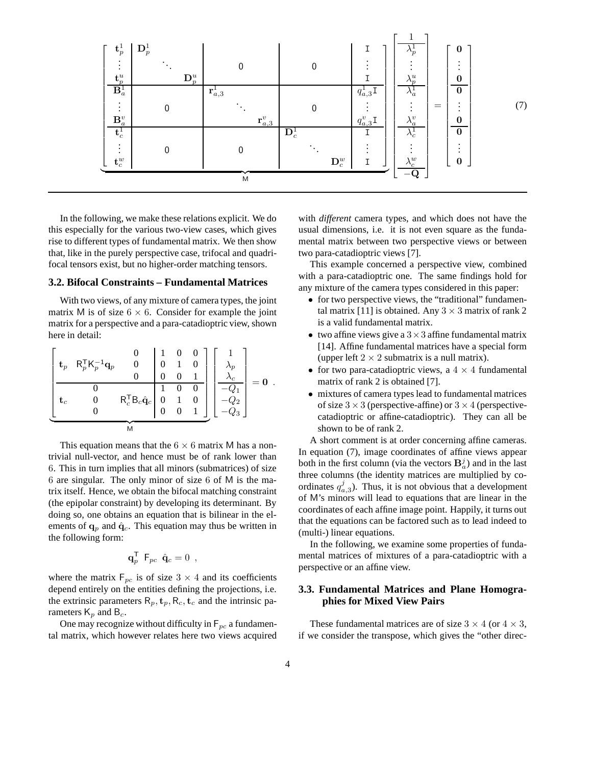

In the following, we make these relations explicit. We do this especially for the various two-view cases, which gives rise to different types of fundamental matrix. We then show that, like in the purely perspective case, trifocal and quadrifocal tensors exist, but no higher-order matching tensors.

#### **3.2. Bifocal Constraints – Fundamental Matrices**

With two views, of any mixture of camera types, the joint matrix M is of size  $6 \times 6$ . Consider for example the joint matrix for a perspective and a para-catadioptric view, shown here in detail:

$$
\left[\begin{array}{cccc|c} \mathbf{t}_p & R_p^{\mathsf{T}} K_p^{-1} \mathbf{q}_p & 0 & 1 & 0 & 0 \\ \mathbf{t}_p & R_p^{\mathsf{T}} K_p^{-1} \mathbf{q}_p & 0 & 0 & 1 & 0 \\ 0 & 0 & 0 & 0 & 1 & 0 \\ \hline \mathbf{t}_c & 0 & R_c^{\mathsf{T}} B_c \hat{\mathbf{q}}_c & 0 & 1 & 0 \\ 0 & 0 & 0 & 1 & 0 & -Q_2 \\ \hline \end{array}\right] \left[\begin{array}{c} 1 \\ \lambda_p \\ \lambda_c \\ -Q_1 \\ -Q_2 \\ -Q_3 \end{array}\right] = \mathbf{0} \ .
$$

This equation means that the  $6 \times 6$  matrix M has a nontrivial null-vector, and hence must be of rank lower than 6. This in turn implies that all minors (submatrices) of size 6 are singular. The only minor of size 6 of M is the matrix itself. Hence, we obtain the bifocal matching constraint (the epipolar constraint) by developing its determinant. By doing so, one obtains an equation that is bilinear in the elements of  $\mathbf{q}_p$  and  $\hat{\mathbf{q}}_c$ . This equation may thus be written in the following form:

$$
\mathbf{q}_p^{\mathsf{T}} \ \mathsf{F}_{pc} \ \hat{\mathbf{q}}_c = 0 \ ,
$$

where the matrix  $F_{pc}$  is of size  $3 \times 4$  and its coefficients depend entirely on the entities defining the projections, i.e. the extrinsic parameters  $R_p, t_p, R_c, t_c$  and the intrinsic parameters  $K_p$  and  $B_c$ .

One may recognize without difficulty in  $F_{pc}$  a fundamental matrix, which however relates here two views acquired

with *different* camera types, and which does not have the usual dimensions, i.e. it is not even square as the fundamental matrix between two perspective views or between two para-catadioptric views [7].

This example concerned a perspective view, combined with a para-catadioptric one. The same findings hold for any mixture of the camera types considered in this paper:

- for two perspective views, the "traditional" fundamental matrix [11] is obtained. Any  $3 \times 3$  matrix of rank 2 is a valid fundamental matrix.
- two affine views give a  $3 \times 3$  affine fundamental matrix [14]. Affine fundamental matrices have a special form (upper left  $2 \times 2$  submatrix is a null matrix).
- for two para-catadioptric views, a  $4 \times 4$  fundamental matrix of rank 2 is obtained [7].
- mixtures of camera types lead to fundamental matrices of size  $3 \times 3$  (perspective-affine) or  $3 \times 4$  (perspectivecatadioptric or affine-catadioptric). They can all be shown to be of rank 2.

A short comment is at order concerning affine cameras. In equation (7), image coordinates of affine views appear both in the first column (via the vectors  $\mathbf{B}_a^j$ ) and in the last three columns (the identity matrices are multiplied by coordinates  $q_{a,3}^j$ ). Thus, it is not obvious that a development of M's minors will lead to equations that are linear in the coordinates of each affine image point. Happily, it turns out that the equations can be factored such as to lead indeed to (multi-) linear equations.

In the following, we examine some properties of fundamental matrices of mixtures of a para-catadioptric with a perspective or an affine view.

### **3.3. Fundamental Matrices and Plane Homographies for Mixed View Pairs**

These fundamental matrices are of size  $3 \times 4$  (or  $4 \times 3$ , if we consider the transpose, which gives the "other direc-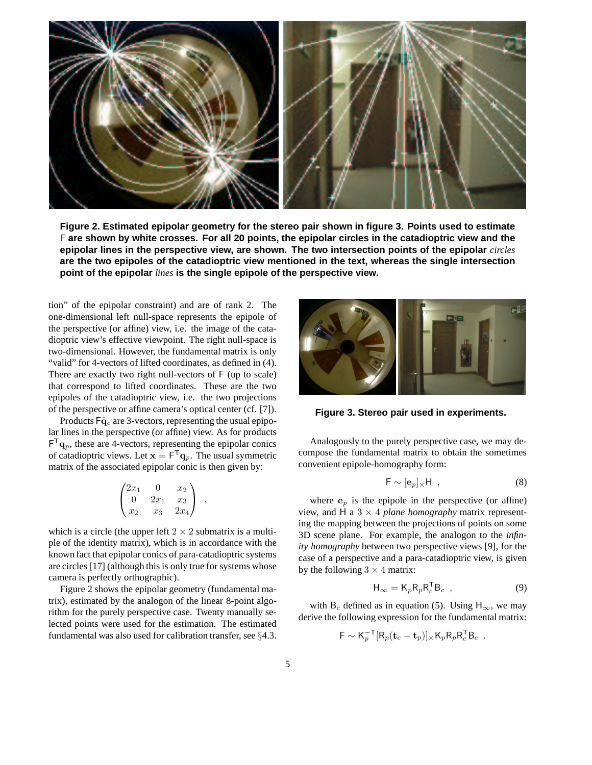

**Figure 2. Estimated epipolar geometry for the stereo pair shown in figure 3. Points used to estimate** F are shown by white crosses. For all 20 points, the epipolar circles in the catadioptric view and the **epipolar lines in the perspective view, are shown. The two intersection points of the epipolar** *circles* **are the two epipoles of the catadioptric view mentioned in the text, whereas the single intersection point of the epipolar** *lines* **is the single epipole of the perspective view.**

tion" of the epipolar constraint) and are of rank 2. The one-dimensional left null-space represents the epipole of the perspective (or affine) view, i.e. the image of the catadioptric view's effective viewpoint. The right null-space is two-dimensional. However, the fundamental matrix is only "valid" for 4-vectors of lifted coordinates, as defined in (4). There are exactly two right null-vectors of F (up to scale) that correspond to lifted coordinates. These are the two epipoles of the catadioptric view, i.e. the two projections of the perspective or affine camera's optical center (cf. [7]).

Products  $F\hat{q}_c$  are 3-vectors, representing the usual epipolar lines in the perspective (or affine) view. As for products  $F^T \mathbf{q}_p$ , these are 4-vectors, representing the epipolar conics of catadioptric views. Let  $\mathbf{x} = \mathbf{F}^T \mathbf{q}_p$ . The usual symmetric matrix of the associated epipolar conic is then given by:

$$
\begin{pmatrix} 2x_1 & 0 & x_2 \ 0 & 2x_1 & x_3 \ x_2 & x_3 & 2x_4 \end{pmatrix} ,
$$

which is a circle (the upper left  $2 \times 2$  submatrix is a multiple of the identity matrix), which is in accordance with the known fact that epipolar conics of para-catadioptric systems are circles [17] (although this is only true for systems whose camera is perfectly orthographic).

Figure 2 shows the epipolar geometry (fundamental matrix), estimated by the analogon of the linear 8-point algorithm for the purely perspective case. Twenty manually selected points were used for the estimation. The estimated fundamental was also used for calibration transfer, see §4.3.



**Figure 3. Stereo pair used in experiments.**

Analogously to the purely perspective case, we may decompose the fundamental matrix to obtain the sometimes convenient epipole-homography form:

$$
\mathsf{F} \sim [\mathbf{e}_p]_{\times} \mathsf{H} \tag{8}
$$

where  $e_p$  is the epipole in the perspective (or affine) view, and H a  $3 \times 4$  *plane homography* matrix representing the mapping between the projections of points on some 3D scene plane. For example, the analogon to the *infinity homography* between two perspective views [9], for the case of a perspective and a para-catadioptric view, is given by the following  $3 \times 4$  matrix:

$$
\mathsf{H}_{\infty} = \mathsf{K}_p \mathsf{R}_p \mathsf{R}_c^{\mathsf{T}} \mathsf{B}_c , \qquad (9)
$$

with B<sub>c</sub> defined as in equation (5). Using H<sub>∞</sub>, we may derive the following expression for the fundamental matrix:

$$
\mathsf{F} \sim \mathsf{K}_p^{-\mathsf{T}}[\mathsf{R}_p(\mathbf{t}_c - \mathbf{t}_p)] \times \mathsf{K}_p \mathsf{R}_p \mathsf{R}_c^{\mathsf{T}} \mathsf{B}_c.
$$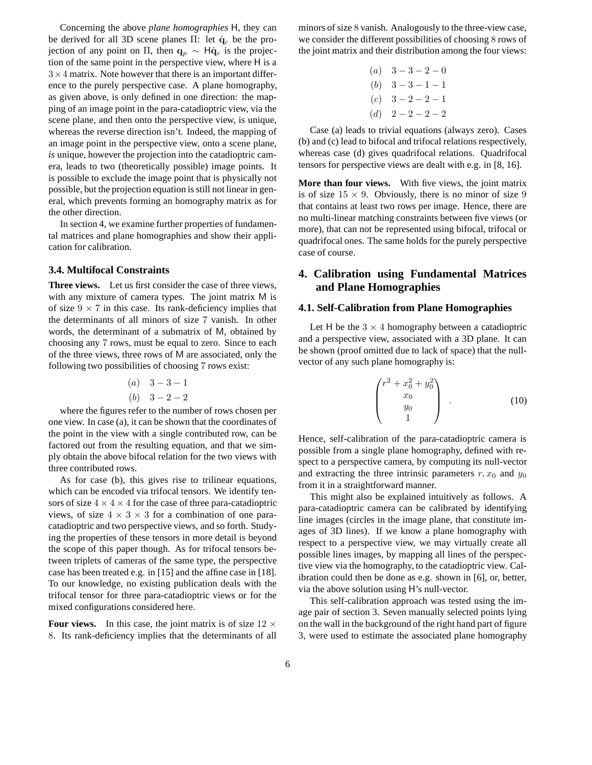Concerning the above *plane homographies* H, they can be derived for all 3D scene planes Π: let  $\hat{q}_c$  be the projection of any point on Π, then  $\mathbf{q}_p \sim \mathsf{H}\hat{\mathbf{q}}_c$  is the projection of the same point in the perspective view, where H is a  $3 \times 4$  matrix. Note however that there is an important difference to the purely perspective case. A plane homography, as given above, is only defined in one direction: the mapping of an image point in the para-catadioptric view, via the scene plane, and then onto the perspective view, is unique, whereas the reverse direction isn't. Indeed, the mapping of an image point in the perspective view, onto a scene plane, *is* unique, however the projection into the catadioptric camera, leads to two (theoretically possible) image points. It is possible to exclude the image point that is physically not possible, but the projection equation is still not linear in general, which prevents forming an homography matrix as for the other direction.

In section 4, we examine further properties of fundamental matrices and plane homographies and show their application for calibration.

#### **3.4. Multifocal Constraints**

**Three views.** Let us first consider the case of three views, with any mixture of camera types. The joint matrix M is of size  $9 \times 7$  in this case. Its rank-deficiency implies that the determinants of all minors of size 7 vanish. In other words, the determinant of a submatrix of M, obtained by choosing any 7 rows, must be equal to zero. Since to each of the three views, three rows of M are associated, only the following two possibilities of choosing 7 rows exist:

(a) 
$$
3-3-1
$$
  
(b)  $3-2-2$ 

where the figures refer to the number of rows chosen per one view. In case (a), it can be shown that the coordinates of the point in the view with a single contributed row, can be factored out from the resulting equation, and that we simply obtain the above bifocal relation for the two views with three contributed rows.

As for case (b), this gives rise to trilinear equations, which can be encoded via trifocal tensors. We identify tensors of size  $4 \times 4 \times 4$  for the case of three para-catadioptric views, of size  $4 \times 3 \times 3$  for a combination of one paracatadioptric and two perspective views, and so forth. Studying the properties of these tensors in more detail is beyond the scope of this paper though. As for trifocal tensors between triplets of cameras of the same type, the perspective case has been treated e.g. in [15] and the affine case in [18]. To our knowledge, no existing publication deals with the trifocal tensor for three para-catadioptric views or for the mixed configurations considered here.

**Four views.** In this case, the joint matrix is of size  $12 \times$ 8. Its rank-deficiency implies that the determinants of all minors of size 8 vanish. Analogously to the three-view case, we consider the different possibilities of choosing 8 rows of the joint matrix and their distribution among the four views:

| (a) $3 - 3 - 2 - 0$ |
|---------------------|
| (b) $3 - 3 - 1 - 1$ |
| (c) $3 - 2 - 2 - 1$ |
| (d) $2 - 2 - 2 - 2$ |

Case (a) leads to trivial equations (always zero). Cases (b) and (c) lead to bifocal and trifocal relations respectively, whereas case (d) gives quadrifocal relations. Quadrifocal tensors for perspective views are dealt with e.g. in [8, 16].

**More than four views.** With five views, the joint matrix is of size  $15 \times 9$ . Obviously, there is no minor of size 9 that contains at least two rows per image. Hence, there are no multi-linear matching constraints between five views (or more), that can not be represented using bifocal, trifocal or quadrifocal ones. The same holds for the purely perspective case of course.

## **4. Calibration using Fundamental Matrices and Plane Homographies**

#### **4.1. Self-Calibration from Plane Homographies**

Let H be the  $3 \times 4$  homography between a catadioptric and a perspective view, associated with a 3D plane. It can be shown (proof omitted due to lack of space) that the nullvector of any such plane homography is:

$$
\begin{pmatrix} r^2 + x_0^2 + y_0^2 \\ x_0 \\ y_0 \\ 1 \end{pmatrix} . \tag{10}
$$

Hence, self-calibration of the para-catadioptric camera is possible from a single plane homography, defined with respect to a perspective camera, by computing its null-vector and extracting the three intrinsic parameters  $r, x_0$  and  $y_0$ from it in a straightforward manner.

This might also be explained intuitively as follows. A para-catadioptric camera can be calibrated by identifying line images (circles in the image plane, that constitute images of 3D lines). If we know a plane homography with respect to a perspective view, we may virtually create all possible lines images, by mapping all lines of the perspective view via the homography, to the catadioptric view. Calibration could then be done as e.g. shown in [6], or, better, via the above solution using H's null-vector.

This self-calibration approach was tested using the image pair of section 3. Seven manually selected points lying on the wall in the background of the right hand part of figure 3, were used to estimate the associated plane homography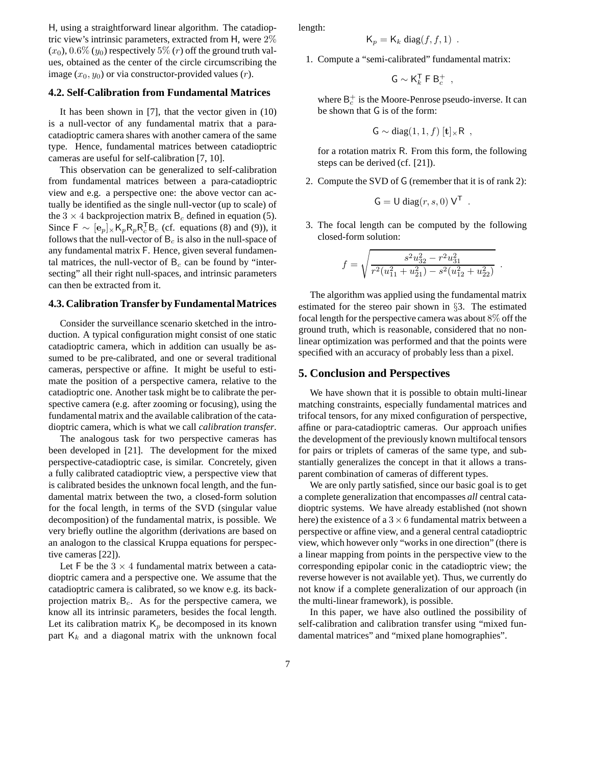H, using a straightforward linear algorithm. The catadioptric view's intrinsic parameters, extracted from H, were 2%  $(x_0)$ ,  $0.6\%$   $(y_0)$  respectively  $5\%$   $(r)$  off the ground truth values, obtained as the center of the circle circumscribing the image  $(x_0, y_0)$  or via constructor-provided values  $(r)$ .

#### **4.2. Self-Calibration from Fundamental Matrices**

It has been shown in [7], that the vector given in (10) is a null-vector of any fundamental matrix that a paracatadioptric camera shares with another camera of the same type. Hence, fundamental matrices between catadioptric cameras are useful for self-calibration [7, 10].

This observation can be generalized to self-calibration from fundamental matrices between a para-catadioptric view and e.g. a perspective one: the above vector can actually be identified as the single null-vector (up to scale) of the  $3 \times 4$  backprojection matrix  $B_c$  defined in equation (5). Since  $F \sim [\mathbf{e}_p] \times K_p R_p R_c^T B_c$  (cf. equations (8) and (9)), it follows that the null-vector of  $B<sub>c</sub>$  is also in the null-space of any fundamental matrix F. Hence, given several fundamental matrices, the null-vector of  $B<sub>c</sub>$  can be found by "intersecting" all their right null-spaces, and intrinsic parameters can then be extracted from it.

#### **4.3. CalibrationTransfer by Fundamental Matrices**

Consider the surveillance scenario sketched in the introduction. A typical configuration might consist of one static catadioptric camera, which in addition can usually be assumed to be pre-calibrated, and one or several traditional cameras, perspective or affine. It might be useful to estimate the position of a perspective camera, relative to the catadioptric one. Another task might be to calibrate the perspective camera (e.g. after zooming or focusing), using the fundamental matrix and the available calibration of the catadioptric camera, which is what we call *calibration transfer*.

The analogous task for two perspective cameras has been developed in [21]. The development for the mixed perspective-catadioptric case, is similar. Concretely, given a fully calibrated catadioptric view, a perspective view that is calibrated besides the unknown focal length, and the fundamental matrix between the two, a closed-form solution for the focal length, in terms of the SVD (singular value decomposition) of the fundamental matrix, is possible. We very briefly outline the algorithm (derivations are based on an analogon to the classical Kruppa equations for perspective cameras [22]).

Let F be the  $3 \times 4$  fundamental matrix between a catadioptric camera and a perspective one. We assume that the catadioptric camera is calibrated, so we know e.g. its backprojection matrix  $B<sub>c</sub>$ . As for the perspective camera, we know all its intrinsic parameters, besides the focal length. Let its calibration matrix  $K_p$  be decomposed in its known part  $K_k$  and a diagonal matrix with the unknown focal

length:

$$
\mathsf{K}_p = \mathsf{K}_k \operatorname{diag}(f, f, 1) \enspace .
$$

1. Compute a "semi-calibrated" fundamental matrix:

$$
\mathsf{G}\sim \mathsf{K}_k^{\mathsf{T}}\mathrel{\mathsf{F}} \mathsf{B}_c^+
$$

,

where  $\mathsf{B}^+_c$  is the Moore-Penrose pseudo-inverse. It can be shown that G is of the form:

$$
G \sim diag(1,1,f) [t] \times R ,
$$

for a rotation matrix R. From this form, the following steps can be derived (cf. [21]).

2. Compute the SVD of G (remember that it is of rank 2):

$$
G = U diag(r, s, 0) VT.
$$

3. The focal length can be computed by the following closed-form solution:

$$
f = \sqrt{\frac{s^2 u_{32}^2 - r^2 u_{31}^2}{r^2 (u_{11}^2 + u_{21}^2) - s^2 (u_{12}^2 + u_{22}^2)}}.
$$

The algorithm was applied using the fundamental matrix estimated for the stereo pair shown in §3. The estimated focal length for the perspective camera was about 8% off the ground truth, which is reasonable, considered that no nonlinear optimization was performed and that the points were specified with an accuracy of probably less than a pixel.

#### **5. Conclusion and Perspectives**

We have shown that it is possible to obtain multi-linear matching constraints, especially fundamental matrices and trifocal tensors, for any mixed configuration of perspective, affine or para-catadioptric cameras. Our approach unifies the development of the previously known multifocal tensors for pairs or triplets of cameras of the same type, and substantially generalizes the concept in that it allows a transparent combination of cameras of different types.

We are only partly satisfied, since our basic goal is to get a complete generalization that encompasses *all* central catadioptric systems. We have already established (not shown here) the existence of a  $3 \times 6$  fundamental matrix between a perspective or affine view, and a general central catadioptric view, which however only "works in one direction" (there is a linear mapping from points in the perspective view to the corresponding epipolar conic in the catadioptric view; the reverse however is not available yet). Thus, we currently do not know if a complete generalization of our approach (in the multi-linear framework), is possible.

In this paper, we have also outlined the possibility of self-calibration and calibration transfer using "mixed fundamental matrices" and "mixed plane homographies".